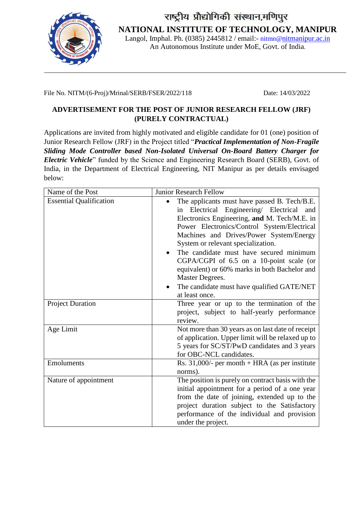

राष्ट्रीय प्रौद्योगिकी संस्थान,मणिपुर **NATIONAL INSTITUTE OF TECHNOLOGY, MANIPUR** Langol, Imphal. Ph. (0385) 2445812 / email:- [nitmn@](mailto:nitmn@)nitmanipur.ac.in

An Autonomous Institute under MoE, Govt. of India.

File No. NITM/(6-Proj)/Mrinal/SERB/FSER/2022/118 Date: 14/03/2022

## **ADVERTISEMENT FOR THE POST OF JUNIOR RESEARCH FELLOW (JRF) (PURELY CONTRACTUAL)**

Applications are invited from highly motivated and eligible candidate for 01 (one) position of Junior Research Fellow (JRF) in the Project titled "*Practical Implementation of Non-Fragile Sliding Mode Controller based Non-Isolated Universal On-Board Battery Charger for Electric Vehicle*" funded by the Science and Engineering Research Board (SERB), Govt. of India, in the Department of Electrical Engineering, NIT Manipur as per details envisaged below:

| Name of the Post               | <b>Junior Research Fellow</b>                                                                                                                                                                                                                                                                                                                                                                                                                                                                              |
|--------------------------------|------------------------------------------------------------------------------------------------------------------------------------------------------------------------------------------------------------------------------------------------------------------------------------------------------------------------------------------------------------------------------------------------------------------------------------------------------------------------------------------------------------|
| <b>Essential Qualification</b> | The applicants must have passed B. Tech/B.E.<br>Electrical Engineering/ Electrical<br>and<br>in<br>Electronics Engineering, and M. Tech/M.E. in<br>Power Electronics/Control System/Electrical<br>Machines and Drives/Power System/Energy<br>System or relevant specialization.<br>The candidate must have secured minimum<br>CGPA/CGPI of 6.5 on a 10-point scale (or<br>equivalent) or 60% marks in both Bachelor and<br>Master Degrees.<br>The candidate must have qualified GATE/NET<br>at least once. |
| <b>Project Duration</b>        | Three year or up to the termination of the<br>project, subject to half-yearly performance<br>review.                                                                                                                                                                                                                                                                                                                                                                                                       |
| Age Limit                      | Not more than 30 years as on last date of receipt<br>of application. Upper limit will be relaxed up to<br>5 years for SC/ST/PwD candidates and 3 years<br>for OBC-NCL candidates.                                                                                                                                                                                                                                                                                                                          |
| Emoluments                     | Rs. $31,000/$ - per month + HRA (as per institute<br>norms).                                                                                                                                                                                                                                                                                                                                                                                                                                               |
| Nature of appointment          | The position is purely on contract basis with the<br>initial appointment for a period of a one year<br>from the date of joining, extended up to the<br>project duration subject to the Satisfactory<br>performance of the individual and provision<br>under the project.                                                                                                                                                                                                                                   |